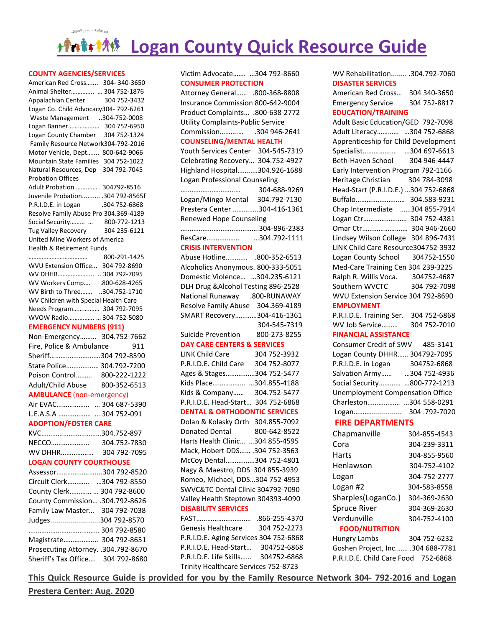# **MANGE Logan County Quick Resource Guide**

#### **COUNTY AGENCIES/SERVICES**

cople: Helping: Per

| UUIVI I MULIVULJ/JLIVIUL                                                 |                        |
|--------------------------------------------------------------------------|------------------------|
| American Red Cross 304-340-3650                                          |                        |
| Animal Shelter  304 752-1876                                             |                        |
| Appalachian Center 304 752-3432                                          |                        |
| Logan Co. Child Advocacy304-792-6261                                     |                        |
| Waste Management 304-752-0008                                            |                        |
| Logan Banner 304 752-6950<br>Logan County Chamber 304 752-1324           |                        |
|                                                                          |                        |
| Family Resource Network304-792-2016                                      |                        |
| Motor Vehicle, Dept 800-642-9066                                         |                        |
| Mountain State Families 304 752-1022                                     |                        |
| Natural Resources, Dep 304 792-7045                                      |                        |
| <b>Probation Offices</b>                                                 |                        |
| Adult Probation  304792-8516                                             |                        |
| Juvenile Probation .304 792-8565f                                        |                        |
| P.R.I.D.E. in Logan .304 752-6868                                        |                        |
| Resolve Family Abuse Pro 304.369-4189                                    |                        |
| Social Security  800-772-1213                                            |                        |
| Tug Valley Recovery                                                      | 304 235-6121           |
| United Mine Workers of America                                           |                        |
| Health & Retirement Funds                                                |                        |
|                                                                          |                        |
| WVU Extension Office 304 792-8690                                        |                        |
| WV DHHR  304 792-7095                                                    |                        |
|                                                                          |                        |
| 800-628-4265.  WV Workers Comp<br>WV Birth to Three 304.752-1710         |                        |
| WV Children with Special Health Care                                     |                        |
| Needs Program 304 792-7095                                               |                        |
| WVOW Radio  304-752-5080                                                 |                        |
| <b>EMERGENCY NUMBERS (911)</b>                                           |                        |
| Non-Emergency 304.752-7662                                               |                        |
| Fire, Police & Ambulance                                                 | 911                    |
| Sheriff304 792-8590                                                      |                        |
| State Police 304.792-7200                                                |                        |
| Poison Control 800-222-1222                                              |                        |
|                                                                          |                        |
| Adult/Child Abuse 800-352-6513                                           |                        |
| <b>AMBULANCE</b> (non-emergency)                                         |                        |
|                                                                          |                        |
|                                                                          | Air EVAC  304 687-5390 |
| L.E.A.S.A   304 752-091                                                  |                        |
| <b>ADOPTION/FOSTER CARE</b>                                              |                        |
|                                                                          |                        |
| KVC304.752-897                                                           |                        |
|                                                                          |                        |
| WV DHHR 304 792-7095                                                     |                        |
| <b>LOGAN COUNTY COURTHOUSE</b>                                           |                        |
| Assessor304 792-8520                                                     |                        |
| Circuit Clerk 304 792-8550                                               |                        |
| County Clerk  304 792-8600                                               |                        |
| County Commission .304.792-8626                                          |                        |
| Family Law Master 304 792-7038                                           |                        |
|                                                                          |                        |
| Judges304 792-8570                                                       |                        |
| 304 792-8580                                                             |                        |
| Magistrate 304 792-8651                                                  |                        |
| Prosecuting Attorney. .304.792-8670<br>Sheriff's Tax Office 304 792-8680 |                        |

Victim Advocate……. …304 792-8660 **CONSUMER PROTECTION**

| 800-368-8808.  Attorney General .800-368-8808                      |               |
|--------------------------------------------------------------------|---------------|
| Insurance Commission 800-642-9004                                  |               |
| Product Complaints .800-638-2772                                   |               |
| Utility Complaints-Public Service                                  |               |
|                                                                    |               |
| <b>COUNSELING/MENTAL HEALTH</b>                                    |               |
| Youth Services Center 304-545-7319                                 |               |
| Celebrating Recovery 304.752-4927                                  |               |
| Highland Hospital304.926-1688                                      |               |
| Logan Professional Counseling                                      |               |
| .                                                                  | 304-688-9269  |
| Logan/Mingo Mental 304.792-7130                                    |               |
| Prestera Center 304-416-1361                                       |               |
| Renewed Hope Counseling                                            |               |
|                                                                    |               |
|                                                                    |               |
| <b>CRISIS INTERVENTION</b>                                         |               |
|                                                                    |               |
| Abuse Hotline .800-352-6513                                        |               |
| Alcoholics Anonymous. 800-333-5051                                 |               |
| Domestic Violence 304.235-6121                                     |               |
| DLH Drug & Alcohol Testing 896-2528                                |               |
| National Runaway .800-RUNAWAY                                      |               |
| Resolve Family Abuse 304.369-4189                                  |               |
| SMART Recovery304-416-1361                                         |               |
|                                                                    | 304-545-7319  |
| Suicide Prevention 800-273-8255                                    |               |
| <b>DAY CARE CENTERS &amp; SERVICES</b>                             |               |
| LINK Child Care 304 752-3932<br>P.R.I.D.E. Child Care 304 752-8077 |               |
|                                                                    |               |
| Ages & Stages304 752-5477                                          |               |
| Kids Place 304.855-4188                                            |               |
| Kids & Company 304.752-5477                                        |               |
| P.R.I.D.E. Head-Start 304 752-6868                                 |               |
| <b>DENTAL &amp; ORTHODONTIC SERVICES</b>                           |               |
| Dolan & Kolasky Orth 304.855-7092                                  |               |
| Donated Dental 800-642-8522                                        |               |
| Harts Health Clinic 304 855-4595                                   |               |
| Mack, Hobert DDS .304 752-3563                                     |               |
| McCoy Dental304 752-4801                                           |               |
| Nagy & Maestro, DDS 304 855-3939                                   |               |
| Romeo, Michael, DDS304 752-4953                                    |               |
| SWVC&TC Dental Clinic 304792-7090                                  |               |
| Valley Health Steptown 304393-4090                                 |               |
| <b>DISABILITY SERVICES</b>                                         |               |
| FAST                                                               | .866-255-4370 |
| Genesis Healthcare                                                 | 304 752-2273  |
| P.R.I.D.E. Aging Services 304 752-6868                             |               |
| P.R.I.D.E. Head-Start                                              | 304752-6868   |
| P.R.I.D.E. Life Skills 304752-6868                                 |               |
|                                                                    |               |

WV Rehabilitation........ .304.792-7060 **DISASTER SERVICES**

American Red Cross… 304 340-3650 Emergency Service 304 752-8817 **EDUCATION/TRAINING**

| Adult Basic Education/GED 792-7098   |              |
|--------------------------------------|--------------|
| Adult Literacy 304 752-6868          |              |
| Apprenticeship for Child Development |              |
|                                      |              |
| Beth-Haven School 304 946-4447       |              |
| Early Intervention Program 792-1166  |              |
| Heritage Christian 304 784-3098      |              |
| Head-Start (P.R.I.D.E.) 304 752-6868 |              |
| Buffalo 304.583-9231                 |              |
| Chap Intermediate 304 855-7914       |              |
| Logan Ctr 304 752-4381               |              |
| Omar Ctr 304 946-2660                |              |
| Lindsey Wilson College 304 896-7431  |              |
| LINK Child Care Resource304752-3932  |              |
| Logan County School 304752-1550      |              |
| Med-Care Training Cen 304 239-3225   |              |
| Ralph R. Willis Voca.                | 304752-4687  |
| Southern WVCTC                       | 304 792-7098 |
| WVU Extension Service 304 792-8690   |              |
| <b>EMPLOYMENT</b>                    |              |
| P.R.I.D.E. Training Ser.             | 304 752-6868 |
| WV Job Service                       | 304 752-7010 |

**FINANCIAL ASSISTANCE**

| Consumer Credit of SWV 485-3141         |              |
|-----------------------------------------|--------------|
| Logan County DHHR 304792-7095           |              |
| P.R.I.D.E. in Logan                     | 304752-6868  |
| Salvation Army                          | 304 752-4936 |
| Social Security 800-772-1213            |              |
| <b>Unemployment Compensation Office</b> |              |
| Charleston304 558-0291                  |              |
| Logan                                   | 304.792-7020 |

### **FIRE DEPARTMENTS**

| Chapmanville          | 304-855-4543 |
|-----------------------|--------------|
| Cora                  | 304-239-3311 |
| Harts                 | 304-855-9560 |
| Henlawson             | 304-752-4102 |
| Logan                 | 304-752-2777 |
| Logan #2              | 304-583-8558 |
| Sharples(LoganCo.)    | 304-369-2630 |
| <b>Spruce River</b>   | 304-369-2630 |
| Verdunville           | 304-752-4100 |
| <b>FOOD/NUTRITION</b> |              |
| Hungry Lambs          | 304 752-6232 |

Goshen Project, Inc.…… .304 688-7781 P.R.I.D.E. Child Care Food 752-6868

**This Quick Resource Guide is provided for you by the Family Resource Network 304- 792-2016 and Logan**  Trinity Healthcare Services 752-8723

**Prestera Center: Aug. 2020**